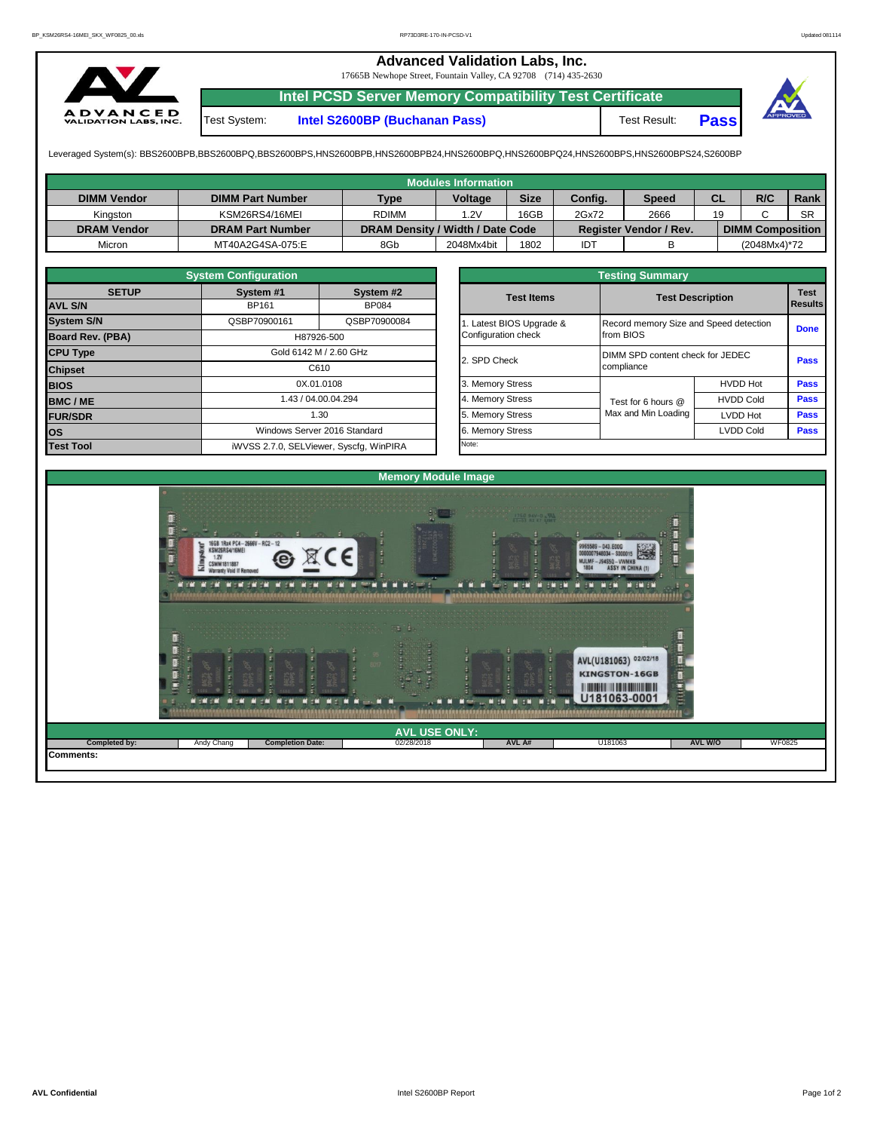## **Advanced Validation Labs, Inc.**

17665B Newhope Street, Fountain Valley, CA 92708 (714) 435-2630



**Intel PCSD Server Memory Compatibility Test Certificate** Test System: **Intel S2600BP (Buchanan Pass)** Test Result: **Pass**

Leveraged System(s): BBS2600BPB,BBS2600BPQ,BBS2600BPS,HNS2600BPB,HNS2600BPB24,HNS2600BPQ,HNS2600BPQ24,HNS2600BPS,HNS2600BPS24,S2600BP

|                    |                         |                                  | <b>Modules Information</b> |             |         |                               |    |                         |           |
|--------------------|-------------------------|----------------------------------|----------------------------|-------------|---------|-------------------------------|----|-------------------------|-----------|
| <b>DIMM Vendor</b> | <b>DIMM Part Number</b> | <b>Type</b>                      | <b>Voltage</b>             | <b>Size</b> | Config. | <b>Speed</b>                  | СL | R/C                     | Rank      |
| Kinaston           | KSM26RS4/16MEI          | <b>RDIMM</b>                     | 1.2V                       | 16GB        | 2Gx72   | 2666                          | 19 |                         | <b>SR</b> |
| <b>DRAM Vendor</b> | <b>DRAM Part Number</b> | DRAM Density / Width / Date Code |                            |             |         | <b>Register Vendor / Rev.</b> |    | <b>DIMM Composition</b> |           |
| Micron             | MT40A2G4SA-075:E        | 8Gb                              | 2048Mx4bit                 | 1802        | IDT     |                               |    | (2048Mx4)*72            |           |

|                         | <b>System Configuration</b> |                                         | <b>Testing Summary</b> |                                  |                                        |             |  |  |  |  |  |  |
|-------------------------|-----------------------------|-----------------------------------------|------------------------|----------------------------------|----------------------------------------|-------------|--|--|--|--|--|--|
| <b>SETUP</b>            | System #1                   | System #2                               | <b>Test Items</b>      | <b>Test Description</b>          | <b>Test</b><br>Results                 |             |  |  |  |  |  |  |
| <b>AVL S/N</b>          | <b>BP161</b>                | <b>BP084</b>                            |                        |                                  |                                        |             |  |  |  |  |  |  |
| <b>System S/N</b>       | QSBP70900161                | QSBP70900084                            | Latest BIOS Upgrade &  |                                  | Record memory Size and Speed detection |             |  |  |  |  |  |  |
| <b>Board Rev. (PBA)</b> |                             | H87926-500                              | Configuration check    | from BIOS                        |                                        | <b>Done</b> |  |  |  |  |  |  |
| <b>CPU Type</b>         |                             | Gold 6142 M / 2.60 GHz                  | 2. SPD Check           | DIMM SPD content check for JEDEC |                                        |             |  |  |  |  |  |  |
| <b>Chipset</b>          |                             | C610                                    |                        | compliance                       |                                        | Pass        |  |  |  |  |  |  |
| <b>BIOS</b>             |                             | 0X.01.0108                              | 3. Memory Stress       |                                  | <b>HVDD Hot</b>                        | Pass        |  |  |  |  |  |  |
| <b>BMC/ME</b>           |                             | 1.43 / 04.00.04.294                     | 4. Memory Stress       | Test for 6 hours @               | <b>HVDD Cold</b>                       | Pass        |  |  |  |  |  |  |
| <b>FUR/SDR</b>          |                             | 1.30                                    | 5. Memory Stress       | Max and Min Loading              | <b>LVDD Hot</b>                        | <b>Pass</b> |  |  |  |  |  |  |
| los                     |                             | Windows Server 2016 Standard            | 6. Memory Stress       |                                  | <b>LVDD Cold</b>                       | Pass        |  |  |  |  |  |  |
| <b>Test Tool</b>        |                             | iWVSS 2.7.0, SELViewer, Syscfq, WinPIRA | Note:                  |                                  |                                        |             |  |  |  |  |  |  |

|              | <b>System Configuration</b> |                                    |  | <b>Testing Summary</b> |                                  |                                        |             |  |  |  |  |  |  |
|--------------|-----------------------------|------------------------------------|--|------------------------|----------------------------------|----------------------------------------|-------------|--|--|--|--|--|--|
| <b>SETUP</b> | System #1                   | System #2                          |  | <b>Test Items</b>      |                                  | <b>Test Description</b>                |             |  |  |  |  |  |  |
|              | BP161                       | <b>BP084</b>                       |  |                        |                                  |                                        |             |  |  |  |  |  |  |
|              | QSBP70900161                | QSBP70900084                       |  | Latest BIOS Upgrade &  |                                  | Record memory Size and Speed detection |             |  |  |  |  |  |  |
| PBA)         |                             | H87926-500                         |  | Configuration check    | from BIOS                        |                                        | <b>Done</b> |  |  |  |  |  |  |
|              |                             | Gold 6142 M / 2.60 GHz             |  |                        | DIMM SPD content check for JEDEC |                                        |             |  |  |  |  |  |  |
|              |                             | C610                               |  | 2. SPD Check           | compliance                       |                                        | Pass        |  |  |  |  |  |  |
|              |                             | 0X.01.0108                         |  | 3. Memory Stress       |                                  | <b>HVDD Hot</b>                        | Pass        |  |  |  |  |  |  |
|              |                             | 1.43 / 04.00.04.294                |  | 4. Memory Stress       | Test for 6 hours @               | <b>HVDD Cold</b>                       | Pass        |  |  |  |  |  |  |
|              |                             | 1.30                               |  | 5. Memory Stress       | Max and Min Loading              | LVDD Hot                               | Pass        |  |  |  |  |  |  |
|              |                             | Windows Server 2016 Standard       |  | 6. Memory Stress       |                                  | <b>LVDD Cold</b>                       | <b>Pass</b> |  |  |  |  |  |  |
|              |                             | iMVSS 270 SELViewer Svecta WinPIRA |  | Note:                  |                                  |                                        |             |  |  |  |  |  |  |